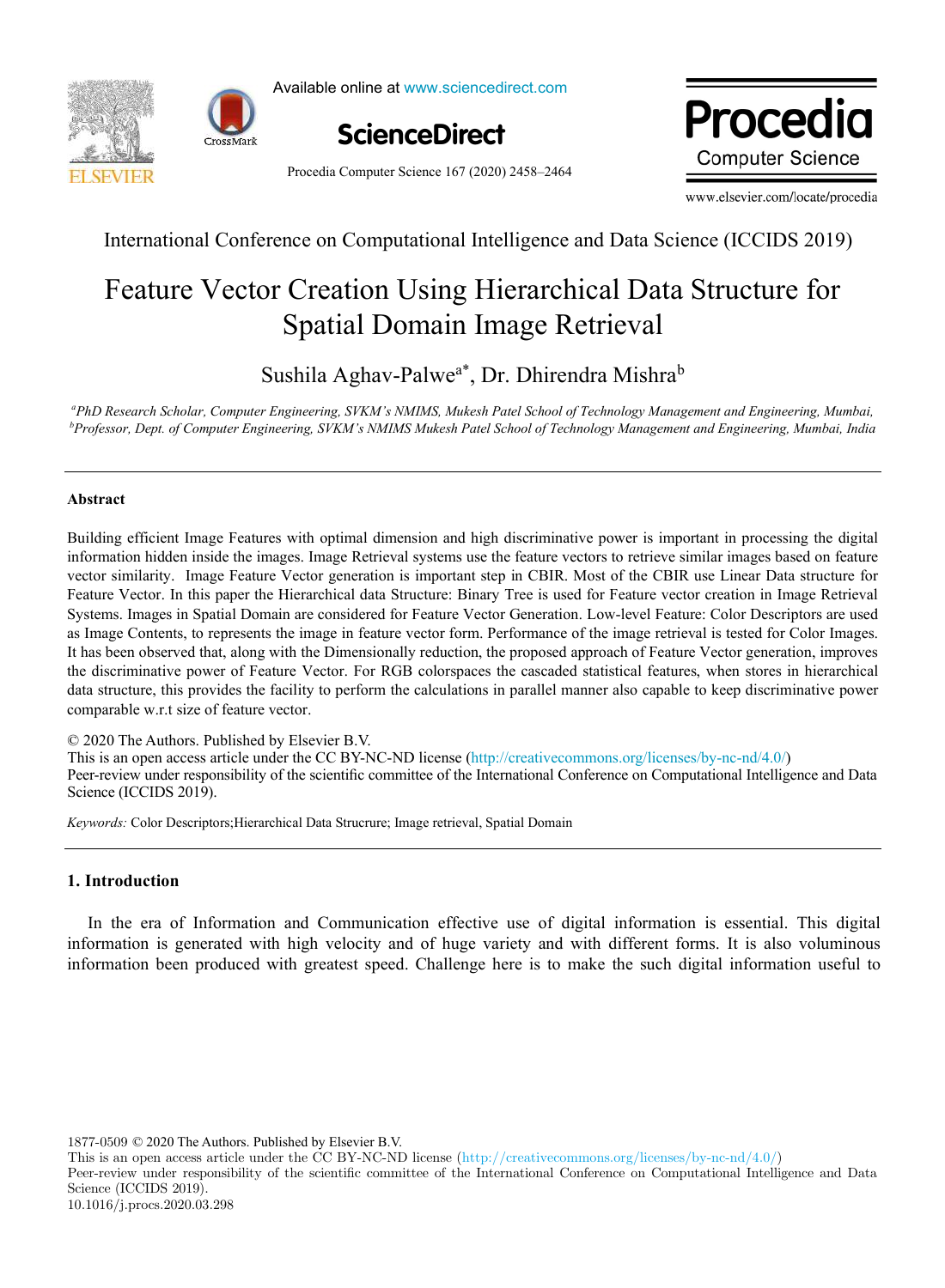



Available online at www.sciencedirect.com



Procedia Computer Science 167 (2020) 2458–2464

Procedia **Computer Science** 

www.elsevier.com/locate/procedia

# International Conference on Computational Intelligence and Data Science (ICCIDS 2019)

# Feature Vector Creation Using Hierarchical Data Structure for Spatial Domain Image Retrieval

Sushila Aghav-Palwe<sup>a\*</sup>, Dr. Dhirendra Mishra<sup>b</sup>

*<sup>a</sup>PhD Research Scholar, Computer Engineering, SVKM's NMIMS, Mukesh Patel School of Technology Management and Engineering, Mumbai, <sup>b</sup>Professor, Dept. of Computer Engineering, SVKM's NMIMS Mukesh Patel School of Technology Management and Engineering, Mumbai, India* 

## Abstract

Building efficient Image Features with optimal dimension and high discriminative power is important in processing the digital information hidden inside the images. Image Retrieval systems use the feature vectors to retrieve similar images based on feature vector similarity. Image Feature Vector generation is important step in CBIR. Most of the CBIR use Linear Data structure for Feature Vector. In this paper the Hierarchical data Structure: Binary Tree is used for Feature vector creation in Image Retrieval Systems. Images in Spatial Domain are considered for Feature Vector Generation. Low-level Feature: Color Descriptors are used as Image Contents, to represents the image in feature vector form. Performance of the image retrieval is tested for Color Images. It has been observed that, along with the Dimensionally reduction, the proposed approach of Feature Vector generation, improves the discriminative power of Feature Vector. For RGB colorspaces the cascaded statistical features, when stores in hierarchical data structure, this provides the facility to perform the calculations in parallel manner also capable to keep discriminative power comparable w.r.t size of feature vector.

© 2020 The Authors. Published by Elsevier B.V. This is an open access article under the CC BY-NC-ND license (http://creativecommons.org/licenses/by-nc-nd/4.0/) Peer-review under responsibility of the scientific committee of the International Conference on Computational Intelligence and Data Science (ICCIDS 2019).

*Keywords:* Color Descriptors;Hierarchical Data Strucrure; Image retrieval, Spatial Domain

# 1. Introduction

In the era of Information and Communication effective use of digital information is essential. This digital information is generated with high velocity and of huge variety and with different forms. It is also voluminous information been produced with greatest speed. Challenge here is to make the such digital information useful to

1877-0509 © 2020 The Authors. Published by Elsevier B.V.

This is an open access article under the CC BY-NC-ND license (http://creativecommons.org/licenses/by-nc-nd/4.0/)

Peer-review under responsibility of the scientific committee of the International Conference on Computational Intelligence and Data Science (ICCIDS 2019).

10.1016/j.procs.2020.03.298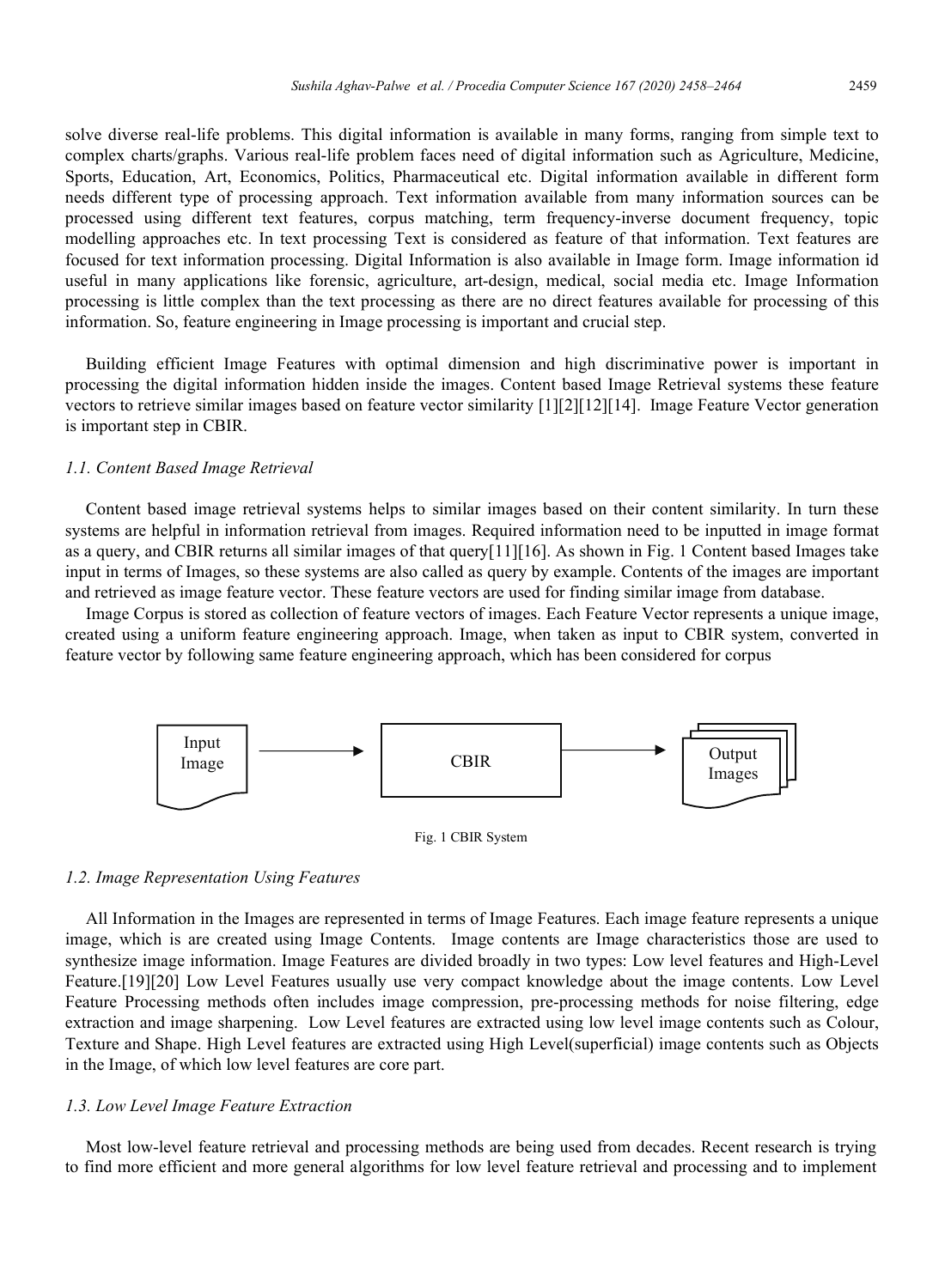solve diverse real-life problems. This digital information is available in many forms, ranging from simple text to complex charts/graphs. Various real-life problem faces need of digital information such as Agriculture, Medicine, Sports, Education, Art, Economics, Politics, Pharmaceutical etc. Digital information available in different form needs different type of processing approach. Text information available from many information sources can be processed using different text features, corpus matching, term frequency-inverse document frequency, topic modelling approaches etc. In text processing Text is considered as feature of that information. Text features are focused for text information processing. Digital Information is also available in Image form. Image information id useful in many applications like forensic, agriculture, art-design, medical, social media etc. Image Information processing is little complex than the text processing as there are no direct features available for processing of this information. So, feature engineering in Image processing is important and crucial step.

Building efficient Image Features with optimal dimension and high discriminative power is important in processing the digital information hidden inside the images. Content based Image Retrieval systems these feature vectors to retrieve similar images based on feature vector similarity [1][2][12][14]. Image Feature Vector generation is important step in CBIR.

#### *1.1. Content Based Image Retrieval*

Content based image retrieval systems helps to similar images based on their content similarity. In turn these systems are helpful in information retrieval from images. Required information need to be inputted in image format as a query, and CBIR returns all similar images of that query[11][16]. As shown in Fig. 1 Content based Images take input in terms of Images, so these systems are also called as query by example. Contents of the images are important and retrieved as image feature vector. These feature vectors are used for finding similar image from database.

Image Corpus is stored as collection of feature vectors of images. Each Feature Vector represents a unique image, created using a uniform feature engineering approach. Image, when taken as input to CBIR system, converted in feature vector by following same feature engineering approach, which has been considered for corpus



Fig. 1 CBIR System

#### *1.2. Image Representation Using Features*

All Information in the Images are represented in terms of Image Features. Each image feature represents a unique image, which is are created using Image Contents. Image contents are Image characteristics those are used to synthesize image information. Image Features are divided broadly in two types: Low level features and High-Level Feature.[19][20] Low Level Features usually use very compact knowledge about the image contents. Low Level Feature Processing methods often includes image compression, pre-processing methods for noise filtering, edge extraction and image sharpening. Low Level features are extracted using low level image contents such as Colour, Texture and Shape. High Level features are extracted using High Level(superficial) image contents such as Objects in the Image, of which low level features are core part.

#### *1.3. Low Level Image Feature Extraction*

Most low-level feature retrieval and processing methods are being used from decades. Recent research is trying to find more efficient and more general algorithms for low level feature retrieval and processing and to implement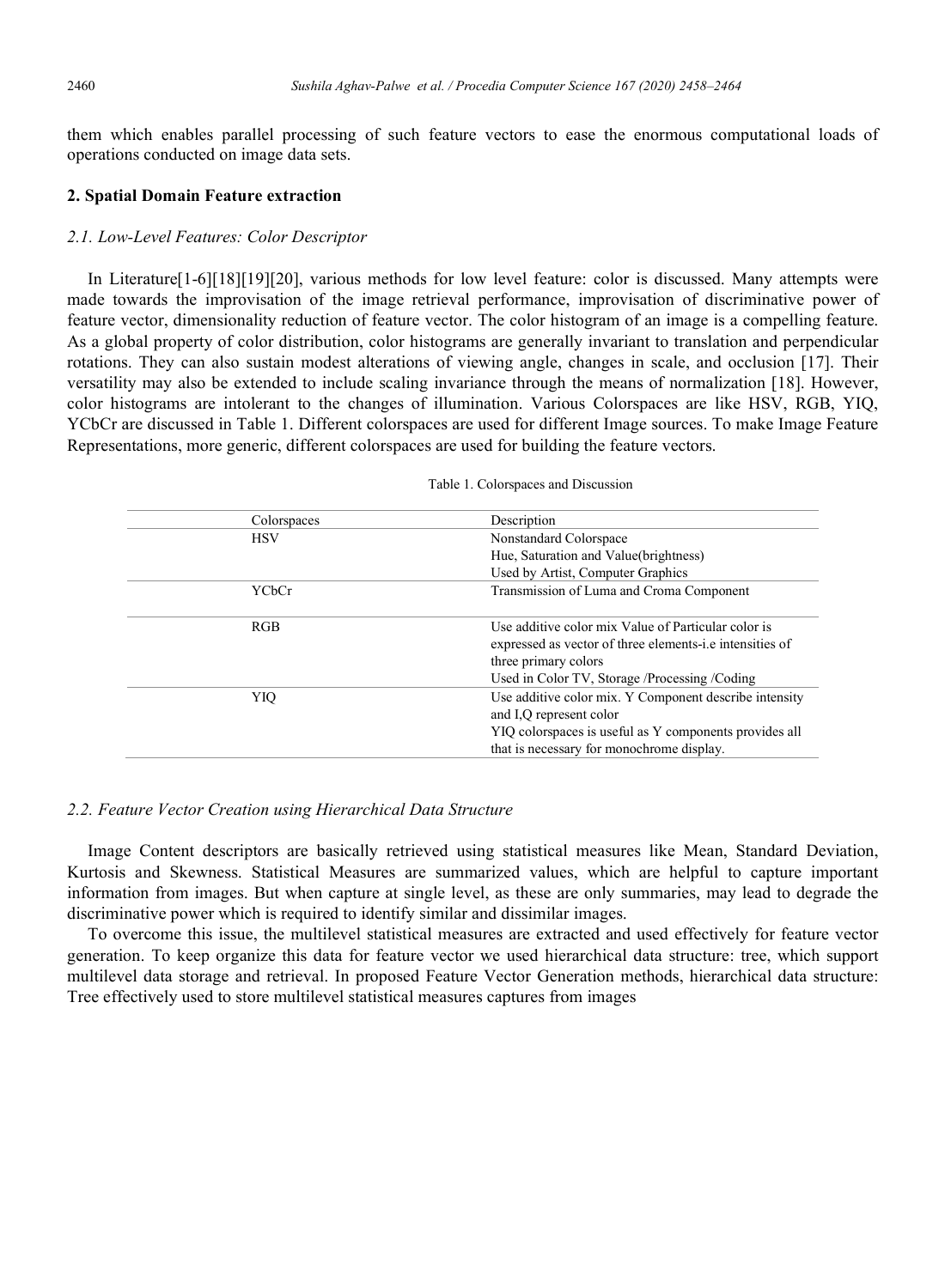them which enables parallel processing of such feature vectors to ease the enormous computational loads of operations conducted on image data sets.

#### 2. Spatial Domain Feature extraction

#### *2.1. Low-Level Features: Color Descriptor*

In Literature[1-6][18][19][20], various methods for low level feature: color is discussed. Many attempts were made towards the improvisation of the image retrieval performance, improvisation of discriminative power of feature vector, dimensionality reduction of feature vector. The color histogram of an image is a compelling feature. As a global property of color distribution, color histograms are generally invariant to translation and perpendicular rotations. They can also sustain modest alterations of viewing angle, changes in scale, and occlusion [17]. Their versatility may also be extended to include scaling invariance through the means of normalization [18]. However, color histograms are intolerant to the changes of illumination. Various Colorspaces are like HSV, RGB, YIQ, YCbCr are discussed in Table 1. Different colorspaces are used for different Image sources. To make Image Feature Representations, more generic, different colorspaces are used for building the feature vectors.

|     | Colorspaces | Description                                                                                                     |  |
|-----|-------------|-----------------------------------------------------------------------------------------------------------------|--|
|     | <b>HSV</b>  | Nonstandard Colorspace                                                                                          |  |
|     |             | Hue, Saturation and Value (brightness)                                                                          |  |
|     |             | Used by Artist, Computer Graphics                                                                               |  |
|     | YCbCr       | Transmission of Luma and Croma Component                                                                        |  |
|     | RGB         | Use additive color mix Value of Particular color is<br>expressed as vector of three elements-i.e intensities of |  |
|     |             | three primary colors                                                                                            |  |
|     |             | Used in Color TV, Storage /Processing /Coding                                                                   |  |
| YIO |             | Use additive color mix. Y Component describe intensity                                                          |  |
|     |             | and I,Q represent color                                                                                         |  |
|     |             | YIQ colorspaces is useful as Y components provides all                                                          |  |
|     |             | that is necessary for monochrome display.                                                                       |  |

#### Table 1. Colorspaces and Discussion

# *2.2. Feature Vector Creation using Hierarchical Data Structure*

Image Content descriptors are basically retrieved using statistical measures like Mean, Standard Deviation, Kurtosis and Skewness. Statistical Measures are summarized values, which are helpful to capture important information from images. But when capture at single level, as these are only summaries, may lead to degrade the discriminative power which is required to identify similar and dissimilar images.

To overcome this issue, the multilevel statistical measures are extracted and used effectively for feature vector generation. To keep organize this data for feature vector we used hierarchical data structure: tree, which support multilevel data storage and retrieval. In proposed Feature Vector Generation methods, hierarchical data structure: Tree effectively used to store multilevel statistical measures captures from images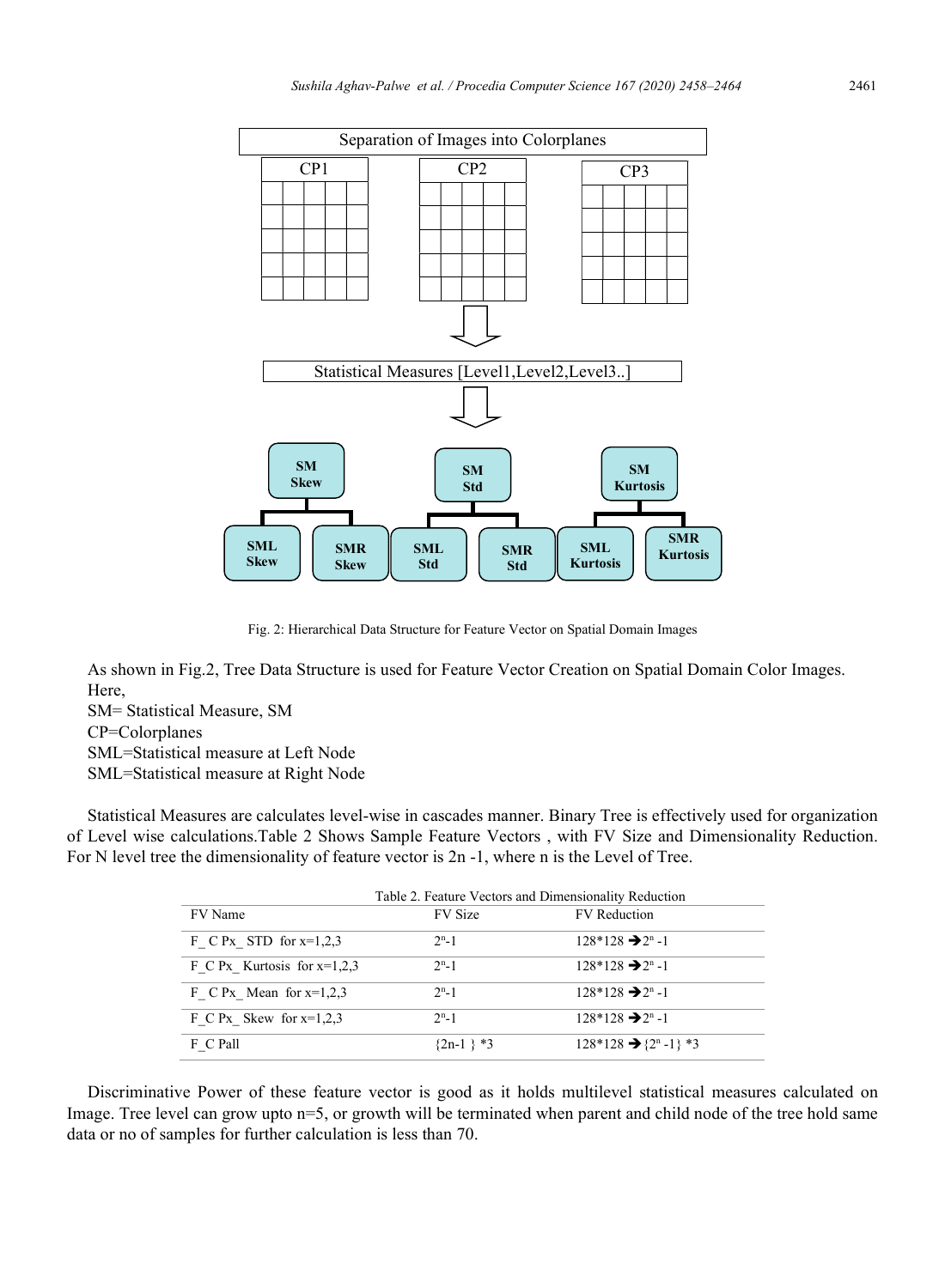

Fig. 2: Hierarchical Data Structure for Feature Vector on Spatial Domain Images

As shown in Fig.2, Tree Data Structure is used for Feature Vector Creation on Spatial Domain Color Images. Here,

SM= Statistical Measure, SM CP=Colorplanes SML=Statistical measure at Left Node SML=Statistical measure at Right Node

Statistical Measures are calculates level-wise in cascades manner. Binary Tree is effectively used for organization of Level wise calculations.Table 2 Shows Sample Feature Vectors , with FV Size and Dimensionality Reduction. For N level tree the dimensionality of feature vector is 2n -1, where n is the Level of Tree.

|                               | Table 2. Feature Vectors and Dimensionality Reduction |                                    |  |
|-------------------------------|-------------------------------------------------------|------------------------------------|--|
| FV Name                       | <b>FV</b> Size                                        | <b>FV</b> Reduction                |  |
| $F$ C Px STD for $x=1,2,3$    | $2n - 1$                                              | $128*128 \rightarrow 2^n - 1$      |  |
| F C Px Kurtosis for $x=1,2,3$ | $2n - 1$                                              | $128*128 \rightarrow 2^n - 1$      |  |
| F C Px Mean for $x=1,2,3$     | $2n - 1$                                              | $128*128 \rightarrow 2^n - 1$      |  |
| $F$ C Px Skew for $x=1,2,3$   | $2n - 1$                                              | $128*128 \rightarrow 2^n - 1$      |  |
| F C Pall                      | ${2n-1}$ *3                                           | $128*128 \rightarrow 2^{n} - 1$ *3 |  |

Discriminative Power of these feature vector is good as it holds multilevel statistical measures calculated on Image. Tree level can grow upto n=5, or growth will be terminated when parent and child node of the tree hold same data or no of samples for further calculation is less than 70.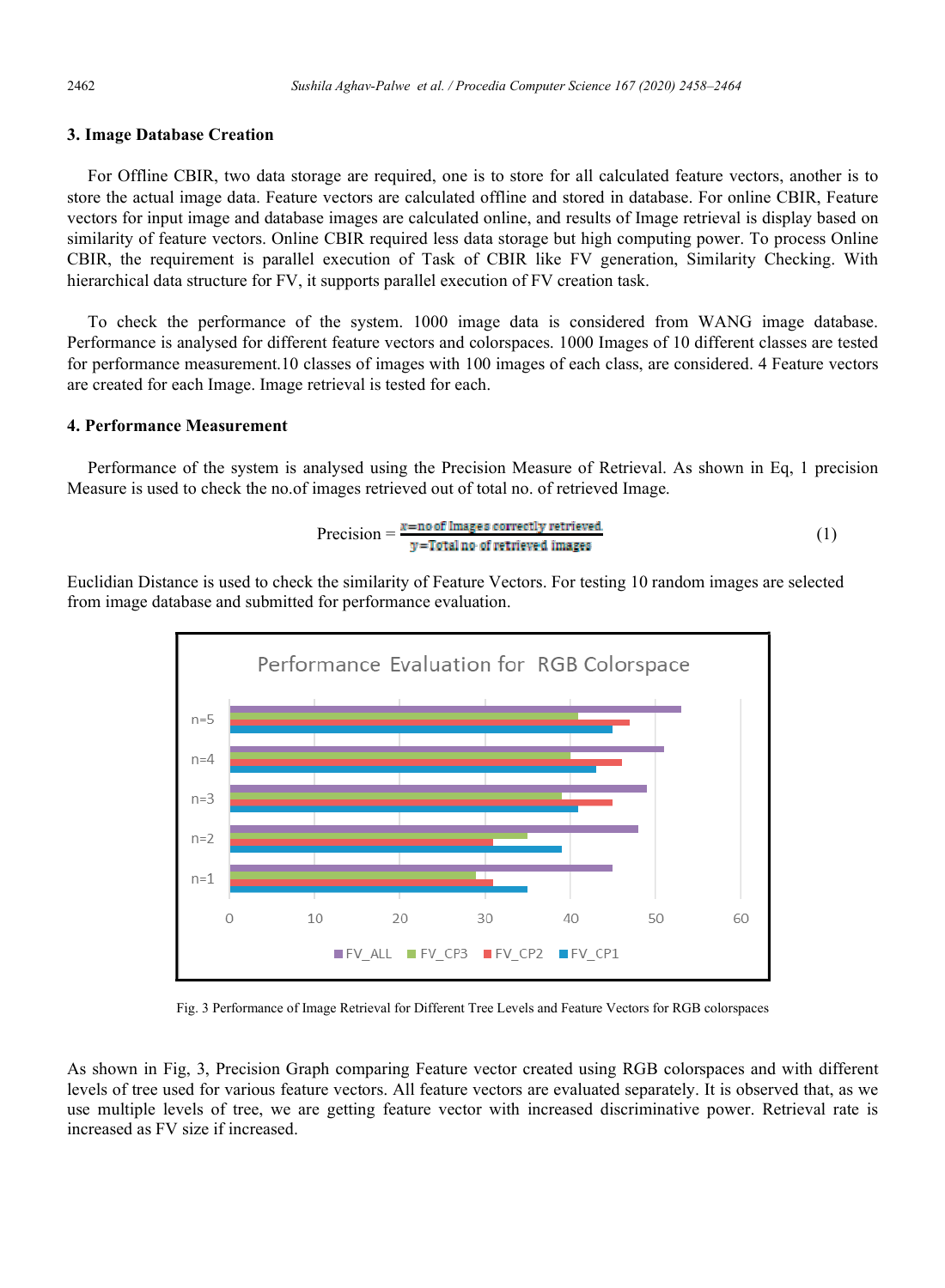#### 3. Image Database Creation

For Offline CBIR, two data storage are required, one is to store for all calculated feature vectors, another is to store the actual image data. Feature vectors are calculated offline and stored in database. For online CBIR, Feature vectors for input image and database images are calculated online, and results of Image retrieval is display based on similarity of feature vectors. Online CBIR required less data storage but high computing power. To process Online CBIR, the requirement is parallel execution of Task of CBIR like FV generation, Similarity Checking. With hierarchical data structure for FV, it supports parallel execution of FV creation task.

To check the performance of the system. 1000 image data is considered from WANG image database. Performance is analysed for different feature vectors and colorspaces. 1000 Images of 10 different classes are tested for performance measurement.10 classes of images with 100 images of each class, are considered. 4 Feature vectors are created for each Image. Image retrieval is tested for each.

## 4. Performance Measurement

Performance of the system is analysed using the Precision Measure of Retrieval. As shown in Eq, 1 precision Measure is used to check the no.of images retrieved out of total no. of retrieved Image.

$$
Precision = \frac{x = no of \text{images correctly retrieved}}{y = Total no of retrieved \text{ images}} \tag{1}
$$

Euclidian Distance is used to check the similarity of Feature Vectors. For testing 10 random images are selected from image database and submitted for performance evaluation.



Fig. 3 Performance of Image Retrieval for Different Tree Levels and Feature Vectors for RGB colorspaces

As shown in Fig, 3, Precision Graph comparing Feature vector created using RGB colorspaces and with different levels of tree used for various feature vectors. All feature vectors are evaluated separately. It is observed that, as we use multiple levels of tree, we are getting feature vector with increased discriminative power. Retrieval rate is increased as FV size if increased.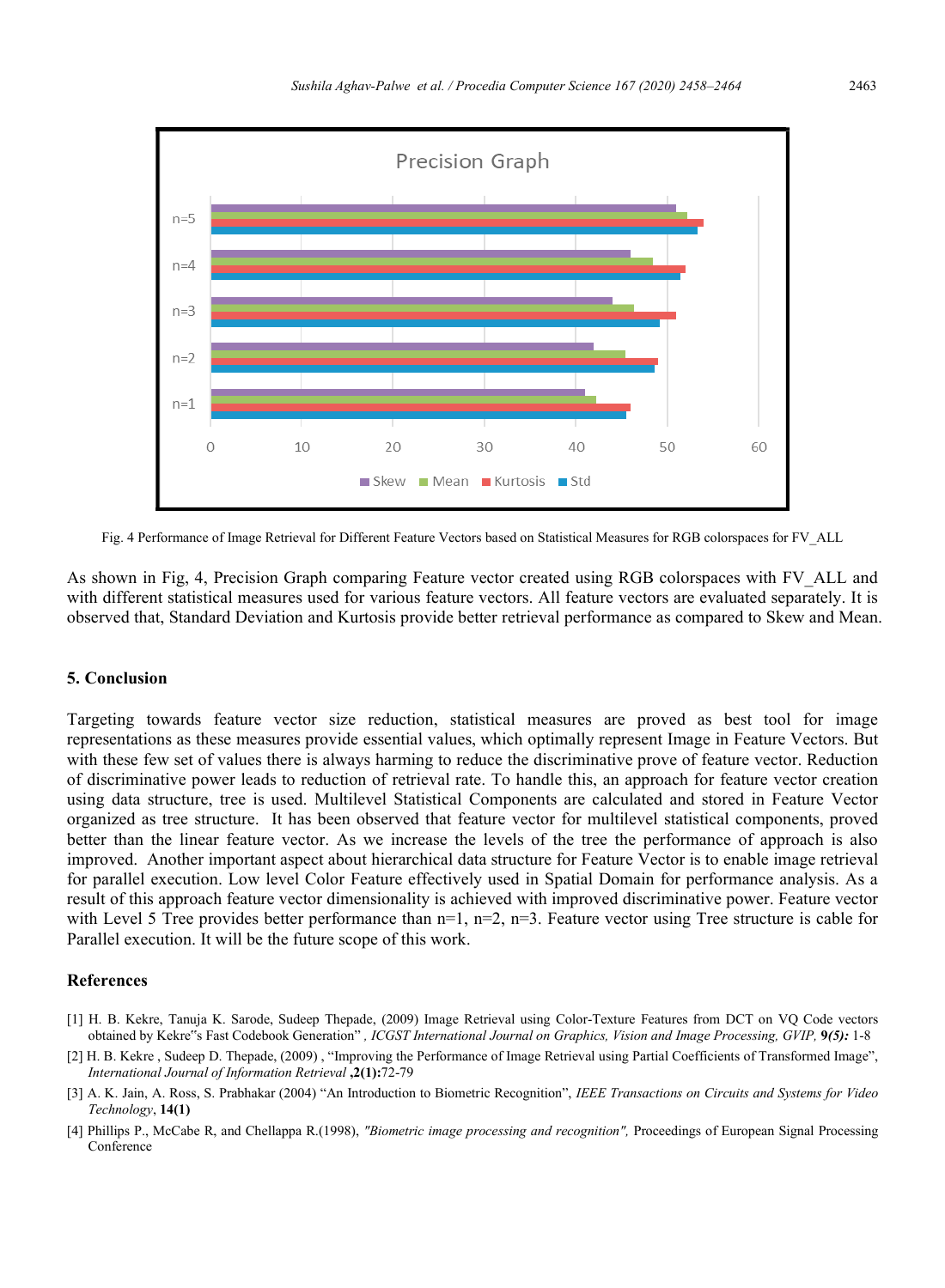

Fig. 4 Performance of Image Retrieval for Different Feature Vectors based on Statistical Measures for RGB colorspaces for FV\_ALL

As shown in Fig, 4, Precision Graph comparing Feature vector created using RGB colorspaces with FV\_ALL and with different statistical measures used for various feature vectors. All feature vectors are evaluated separately. It is observed that, Standard Deviation and Kurtosis provide better retrieval performance as compared to Skew and Mean.

#### 5. Conclusion

Targeting towards feature vector size reduction, statistical measures are proved as best tool for image representations as these measures provide essential values, which optimally represent Image in Feature Vectors. But with these few set of values there is always harming to reduce the discriminative prove of feature vector. Reduction of discriminative power leads to reduction of retrieval rate. To handle this, an approach for feature vector creation using data structure, tree is used. Multilevel Statistical Components are calculated and stored in Feature Vector organized as tree structure. It has been observed that feature vector for multilevel statistical components, proved better than the linear feature vector. As we increase the levels of the tree the performance of approach is also improved. Another important aspect about hierarchical data structure for Feature Vector is to enable image retrieval for parallel execution. Low level Color Feature effectively used in Spatial Domain for performance analysis. As a result of this approach feature vector dimensionality is achieved with improved discriminative power. Feature vector with Level 5 Tree provides better performance than  $n=1$ ,  $n=2$ ,  $n=3$ . Feature vector using Tree structure is cable for Parallel execution. It will be the future scope of this work.

#### References

- [1] H. B. Kekre, Tanuja K. Sarode, Sudeep Thepade, (2009) Image Retrieval using Color-Texture Features from DCT on VQ Code vectors obtained by Kekre"s Fast Codebook Generation", *ICGST International Journal on Graphics, Vision and Image Processing, GVIP*, 9(5): 1-8
- [2] H. B. Kekre , Sudeep D. Thepade, (2009) , "Improving the Performance of Image Retrieval using Partial Coefficients of Transformed Image", *International Journal of Information Retrieval* ,2(1):72-79
- [3] A. K. Jain, A. Ross, S. Prabhakar (2004) "An Introduction to Biometric Recognition", *IEEE Transactions on Circuits and Systems for Video Technology*, 14(1)
- [4] Phillips P., McCabe R, and Chellappa R.(1998), *"Biometric image processing and recognition",* Proceedings of European Signal Processing Conference